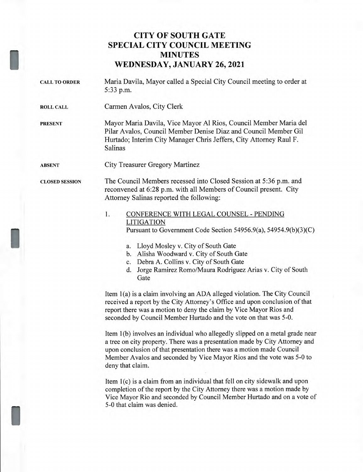## **CITY OF SOUTH GATE SPECIAL CITY COUNCIL MEETING MINUTES WEDNESDAY, JANUARY 26, 2021**

- CALL TO ORDER Maria Davila, Mayor called a Special City Council meeting to order at 5:33 p.m.
- ROLL CALL Carmen Avalos, City Clerk

PRESENT Mayor Maria Davila, Vice Mayor Al Rios, Council Member Maria del Pilar Avalos, Council Member Denise Diaz and Council Member Gil Hurtado; Interim City Manager Chris Jeffers, City Attorney Raul F. Salinas

ABSENT City Treasurer Gregory Martinez

CLOSED SESSION The Council Members recessed into Closed Session at 5:36 p.m. and reconvened at 6:28 p.m. with all Members of Council present. City Attorney Salinas reported the following:

## 1. CONFERENCE WITH LEGAL COUNSEL - PENDING LITIGATION Pursuant to Government Code Section 54956.9(a), 54954.9(b)(3)(C)

- a. Lloyd Mosley v. City of South Gate
- b. Alisha Woodward v. City of South Gate
- c. Debra A. Collins v. City of South Gate
- d. Jorge Ramirez Romo/Maura Rodriguez Arias v. City of South Gate

Item 1(a) is a claim involving an ADA alleged violation. The City Council received a report by the City Attorney's Office and upon conclusion of that report there was a motion to deny the claim by Vice Mayor Rios and seconded by Council Member Hurtado and the vote on that was 5-0.

Item 1(b) involves an individual who allegedly slipped on a metal grade near a tree on city property. There was a presentation made by City Attorney and upon conclusion of that presentation there was a motion made Council Member Avalos and seconded by Vice Mayor Rios and the vote was 5-0 to deny that claim.

Item 1(c) is a claim from an individual that fell on city sidewalk and upon completion of the report by the City Attorney there was a motion made by Vice Mayor Rio and seconded by Council Member Hurtado and on a vote of 5-0 that claim was denied.